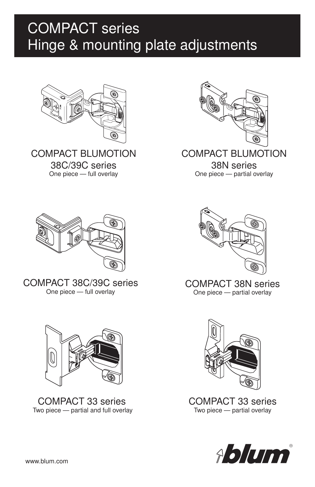# COMPACT series Hinge & mounting plate adjustments



COMPACT BLUMOTION 38C/39C series One piece — full overlay



COMPACT BLUMOTION 38N series One piece — partial overlay



COMPACT 38C/39C series One piece — full overlay



COMPACT 38N series One piece — partial overlay



COMPACT 33 series Two piece — partial and full overlay



COMPACT 33 series Two piece — partial overlay

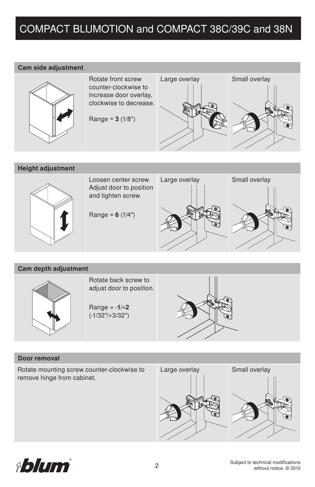# COMPACT BLUMOTION and COMPACT 38C/39C and 38N

#### **Cam side adjustment**



Rotate front screw counter-clockwise to increase door overlay, clockwise to decrease.

Range =  $3(1/8")$ 



#### **Height adjustment**



#### **Cam depth adjustment**



#### **Door removal**

Rotate mounting screw counter-clockwise to remove hinge from cabinet.





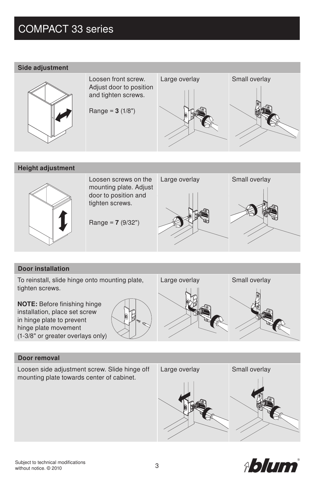# COMPACT 33 series

#### **Side adjustment**



Loosen front screw. Adjust door to position and tighten screws.

Range = **3** (1/8")



### **Height adjustment**



Loosen screws on the mounting plate. Adjust door to position and tighten screws.

Range = **7** (9/32")



Large overlay **Small overlay** 

# **Door installation**

To reinstall, slide hinge onto mounting plate, tighten screws.

**NOTE:** Before finishing hinge installation, place set screw in hinge plate to prevent hinge plate movement (1-3/8" or greater overlays only)







### **Door removal**

Loosen side adjustment screw. Slide hinge off mounting plate towards center of cabinet.